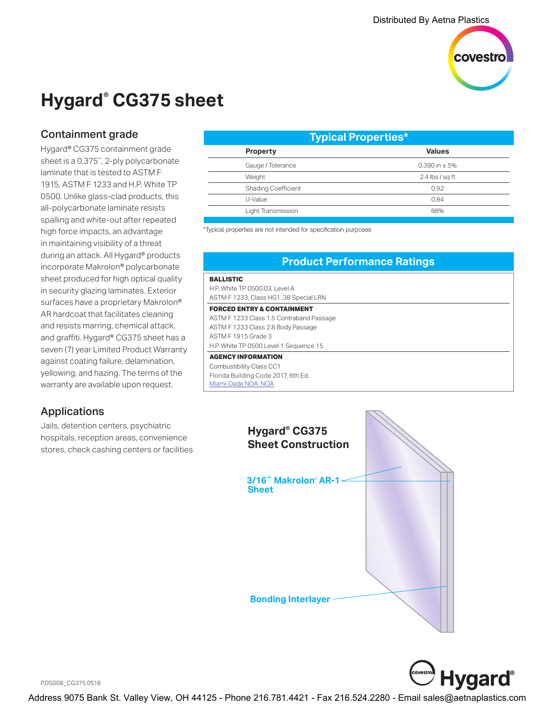

# **Hygard® CG375 sheet**

### Containment grade

Hygard® CG375 containment grade sheet is a 0.375˝, 2-ply polycarbonate laminate that is tested to ASTM F 1915, ASTM F 1233 and H.P. White TP 0500. Unlike glass-clad products, this all-polycarbonate laminate resists spalling and white-out after repeated high force impacts, an advantage in maintaining visibility of a threat during an attack. All Hygard® products incorporate Makrolon® polycarbonate sheet produced for high optical quality in security glazing laminates. Exterior surfaces have a proprietary Makrolon® AR hardcoat that facilitates cleaning and resists marring, chemical attack, and graffiti. Hygard® CG375 sheet has a seven (7) year Limited Product Warranty against coating failure, delamination, yellowing, and hazing. The terms of the warranty are available upon request.

# Applications

Jails, detention centers, psychiatric hospitals, reception areas, convenience stores, check cashing centers or facilities

| <b>Typical Properties*</b> |                             |
|----------------------------|-----------------------------|
| Property                   | <b>Values</b>               |
| Gauge / Tolerance          | $0.390$ in $\pm$ 5%         |
| Weight                     | 2.4 $\frac{\log x}{\log x}$ |
| <b>Shading Coefficient</b> | 0.92                        |
| U-Value                    | 0.84                        |
| Light Transmission         | 88%                         |
|                            |                             |

\*Typical properties are not intended for specification purposes

#### **Product Performance Ratings BALLISTIC** H.P. White TP 0500.03, Level A ASTM F 1233, Class HG1 .38 Special LRN **FORCED ENTRY & CONTAINMENT** ASTM F 1233 Class 1.5 Contraband Passage ASTM F 1233 Class 2.8 Body Passage ASTM F 1915 Grade 3 H.P. White TP 0500 Level 1 Sequence 15 **AGENCY INFORMATION** Combustibility Class CC1 Florida Building Code 2017, 6th Ed. Miami-Dade NOA: NOA





PDS008\_CG375 0518